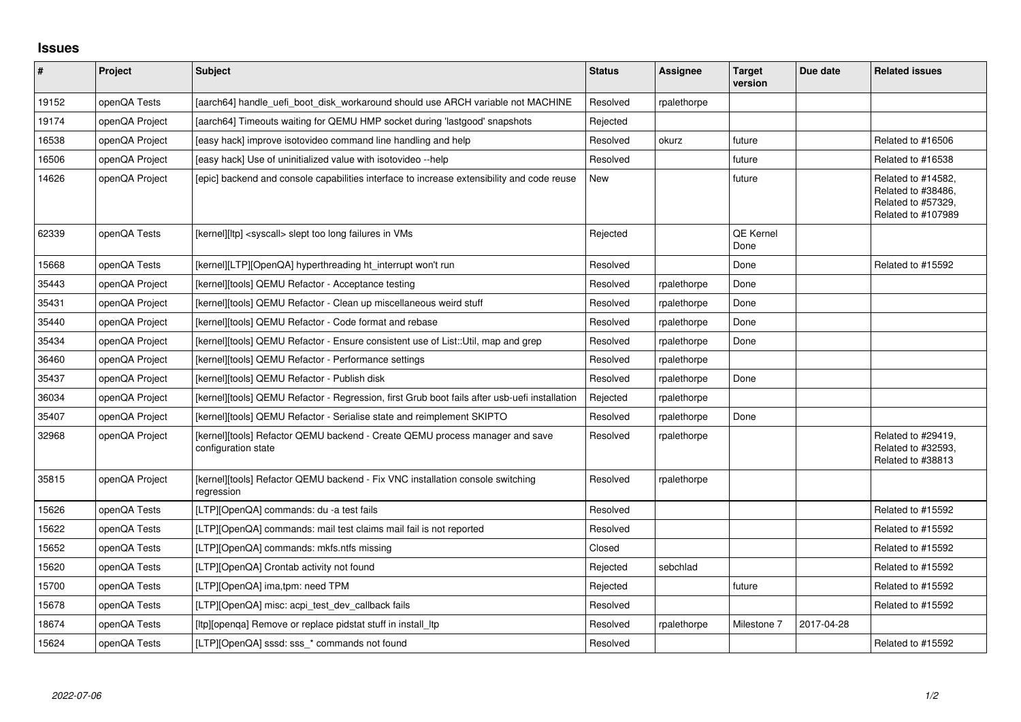## **Issues**

| #     | Project        | <b>Subject</b>                                                                                      | <b>Status</b> | Assignee    | <b>Target</b><br>version | Due date   | <b>Related issues</b>                                                                |
|-------|----------------|-----------------------------------------------------------------------------------------------------|---------------|-------------|--------------------------|------------|--------------------------------------------------------------------------------------|
| 19152 | openQA Tests   | [aarch64] handle uefi boot disk workaround should use ARCH variable not MACHINE                     | Resolved      | rpalethorpe |                          |            |                                                                                      |
| 19174 | openQA Project | [aarch64] Timeouts waiting for QEMU HMP socket during 'lastgood' snapshots                          | Rejected      |             |                          |            |                                                                                      |
| 16538 | openQA Project | [easy hack] improve isotovideo command line handling and help                                       | Resolved      | okurz       | future                   |            | Related to #16506                                                                    |
| 16506 | openQA Project | [easy hack] Use of uninitialized value with isotovideo --help                                       | Resolved      |             | future                   |            | Related to #16538                                                                    |
| 14626 | openQA Project | [epic] backend and console capabilities interface to increase extensibility and code reuse          | New           |             | future                   |            | Related to #14582,<br>Related to #38486,<br>Related to #57329,<br>Related to #107989 |
| 62339 | openQA Tests   | [kernel][ltp] <syscall> slept too long failures in VMs</syscall>                                    | Rejected      |             | <b>QE Kernel</b><br>Done |            |                                                                                      |
| 15668 | openQA Tests   | [kernel][LTP][OpenQA] hyperthreading ht interrupt won't run                                         | Resolved      |             | Done                     |            | Related to #15592                                                                    |
| 35443 | openQA Project | [kernel][tools] QEMU Refactor - Acceptance testing                                                  | Resolved      | rpalethorpe | Done                     |            |                                                                                      |
| 35431 | openQA Project | [kernel][tools] QEMU Refactor - Clean up miscellaneous weird stuff                                  | Resolved      | rpalethorpe | Done                     |            |                                                                                      |
| 35440 | openQA Project | [kernel][tools] QEMU Refactor - Code format and rebase                                              | Resolved      | rpalethorpe | Done                     |            |                                                                                      |
| 35434 | openQA Project | [kernel][tools] QEMU Refactor - Ensure consistent use of List::Util, map and grep                   | Resolved      | rpalethorpe | Done                     |            |                                                                                      |
| 36460 | openQA Project | [kernel][tools] QEMU Refactor - Performance settings                                                | Resolved      | rpalethorpe |                          |            |                                                                                      |
| 35437 | openQA Project | [kernel][tools] QEMU Refactor - Publish disk                                                        | Resolved      | rpalethorpe | Done                     |            |                                                                                      |
| 36034 | openQA Project | [kernel][tools] QEMU Refactor - Regression, first Grub boot fails after usb-uefi installation       | Rejected      | rpalethorpe |                          |            |                                                                                      |
| 35407 | openQA Project | [kernel][tools] QEMU Refactor - Serialise state and reimplement SKIPTO                              | Resolved      | rpalethorpe | Done                     |            |                                                                                      |
| 32968 | openQA Project | [kernel][tools] Refactor QEMU backend - Create QEMU process manager and save<br>configuration state | Resolved      | rpalethorpe |                          |            | Related to #29419,<br>Related to #32593,<br>Related to #38813                        |
| 35815 | openQA Project | [kernel][tools] Refactor QEMU backend - Fix VNC installation console switching<br>regression        | Resolved      | rpalethorpe |                          |            |                                                                                      |
| 15626 | openQA Tests   | [LTP][OpenQA] commands: du -a test fails                                                            | Resolved      |             |                          |            | Related to #15592                                                                    |
| 15622 | openQA Tests   | [LTP][OpenQA] commands: mail test claims mail fail is not reported                                  | Resolved      |             |                          |            | Related to #15592                                                                    |
| 15652 | openQA Tests   | [LTP][OpenQA] commands: mkfs.ntfs missing                                                           | Closed        |             |                          |            | Related to #15592                                                                    |
| 15620 | openQA Tests   | [LTP][OpenQA] Crontab activity not found                                                            | Rejected      | sebchlad    |                          |            | Related to #15592                                                                    |
| 15700 | openQA Tests   | [LTP][OpenQA] ima,tpm: need TPM                                                                     | Rejected      |             | future                   |            | Related to #15592                                                                    |
| 15678 | openQA Tests   | [LTP][OpenQA] misc: acpi_test_dev_callback fails                                                    | Resolved      |             |                          |            | Related to #15592                                                                    |
| 18674 | openQA Tests   | [ltp][openqa] Remove or replace pidstat stuff in install_ltp                                        | Resolved      | rpalethorpe | Milestone 7              | 2017-04-28 |                                                                                      |
| 15624 | openQA Tests   | [LTP][OpenQA] sssd: sss_* commands not found                                                        | Resolved      |             |                          |            | Related to #15592                                                                    |